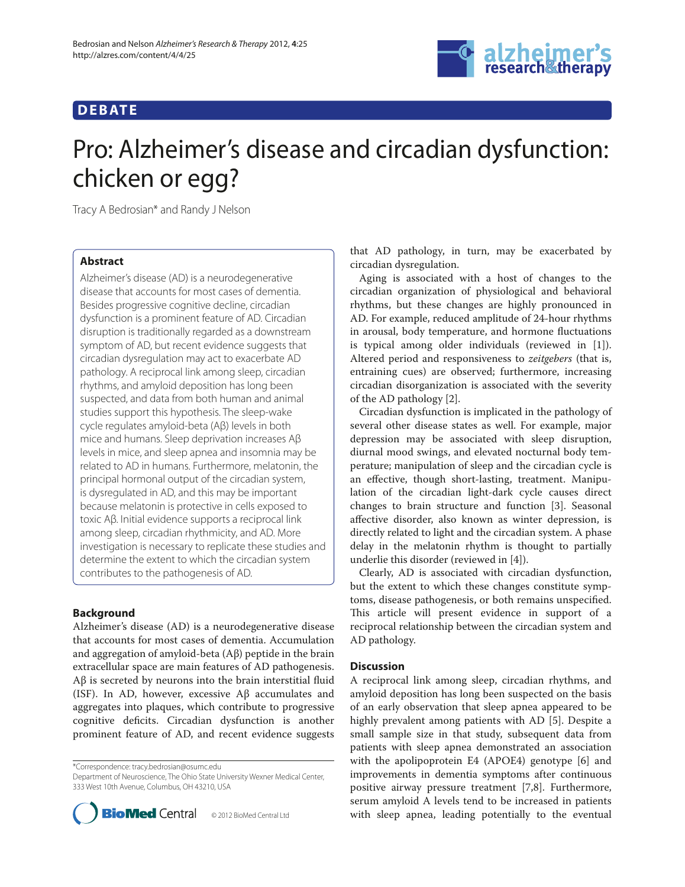# **DEBAT E**



# Pro: Alzheimer's disease and circadian dysfunction: chicken or egg?

Tracy A Bedrosian\* and Randy J Nelson

# **Abstract**

Alzheimer's disease (AD) is a neurodegenerative disease that accounts for most cases of dementia. Besides progressive cognitive decline, circadian dysfunction is a prominent feature of AD. Circadian disruption is traditionally regarded as a downstream symptom of AD, but recent evidence suggests that circadian dysregulation may act to exacerbate AD pathology. A reciprocal link among sleep, circadian rhythms, and amyloid deposition has long been suspected, and data from both human and animal studies support this hypothesis. The sleep-wake cycle regulates amyloid-beta (Aβ) levels in both mice and humans. Sleep deprivation increases Aβ levels in mice, and sleep apnea and insomnia may be related to AD in humans. Furthermore, melatonin, the principal hormonal output of the circadian system, is dysregulated in AD, and this may be important because melatonin is protective in cells exposed to toxic Aβ. Initial evidence supports a reciprocal link among sleep, circadian rhythmicity, and AD. More investigation is necessary to replicate these studies and determine the extent to which the circadian system contributes to the pathogenesis of AD.

### **Background**

Alzheimer's disease (AD) is a neurodegenerative disease that accounts for most cases of dementia. Accumulation and aggregation of amyloid-beta (Aβ) peptide in the brain extracellular space are main features of AD pathogenesis. Aβ is secreted by neurons into the brain interstitial fluid (ISF). In AD, however, excessive Aβ accumulates and aggregates into plaques, which contribute to progressive cognitive deficits. Circadian dysfunction is another prominent feature of AD, and recent evidence suggests

\*Correspondence: tracy.bedrosian@osumc.edu

Department of Neuroscience, The Ohio State University Wexner Medical Center, 333 West 10th Avenue, Columbus, OH 43210, USA



that AD pathology, in turn, may be exacerbated by circadian dysregulation.

Aging is associated with a host of changes to the circadian organization of physiological and behavioral rhythms, but these changes are highly pronounced in AD. For example, reduced amplitude of 24-hour rhythms in arousal, body temperature, and hormone fluctuations is typical among older individuals (reviewed in [1]). Altered period and responsiveness to *zeitgebers* (that is, entraining cues) are observed; furthermore, increasing circadian disorganization is associated with the severity of the AD pathology [2].

Circadian dysfunction is implicated in the pathology of several other disease states as well. For example, major depression may be associated with sleep disruption, diurnal mood swings, and elevated nocturnal body temperature; manipulation of sleep and the circadian cycle is an effective, though short-lasting, treatment. Manipulation of the circadian light-dark cycle causes direct changes to brain structure and function [3]. Seasonal affective disorder, also known as winter depression, is directly related to light and the circadian system. A phase delay in the melatonin rhythm is thought to partially underlie this disorder (reviewed in [4]).

Clearly, AD is associated with circadian dysfunction, but the extent to which these changes constitute symptoms, disease pathogenesis, or both remains unspecified. This article will present evidence in support of a reciprocal relationship between the circadian system and AD pathology.

### **Discussion**

A reciprocal link among sleep, circadian rhythms, and amyloid deposition has long been suspected on the basis of an early observation that sleep apnea appeared to be highly prevalent among patients with AD [5]. Despite a small sample size in that study, subsequent data from patients with sleep apnea demonstrated an association with the apolipoprotein E4 (APOE4) genotype [6] and improvements in dementia symptoms after continuous positive airway pressure treatment [7,8]. Furthermore, serum amyloid A levels tend to be increased in patients with sleep apnea, leading potentially to the eventual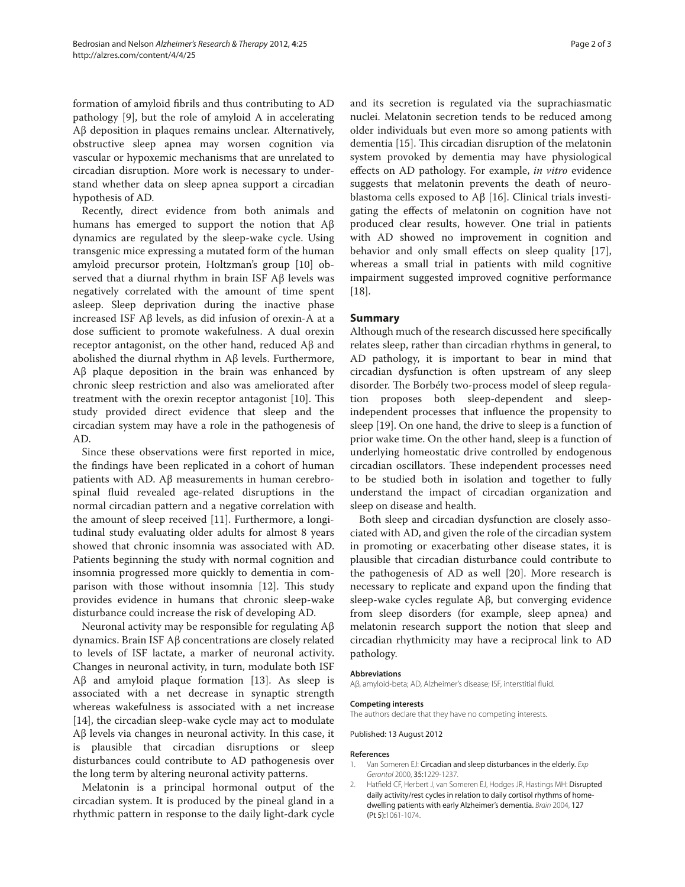formation of amyloid fibrils and thus contributing to AD pathology [9], but the role of amyloid A in accelerating Aβ deposition in plaques remains unclear. Alternatively, obstructive sleep apnea may worsen cognition via vascular or hypoxemic mechanisms that are unrelated to circadian disruption. More work is necessary to understand whether data on sleep apnea support a circadian hypothesis of AD.

Recently, direct evidence from both animals and humans has emerged to support the notion that Aβ dynamics are regulated by the sleep-wake cycle. Using transgenic mice expressing a mutated form of the human amyloid precursor protein, Holtzman's group [10] observed that a diurnal rhythm in brain ISF Aβ levels was negatively correlated with the amount of time spent asleep. Sleep deprivation during the inactive phase increased ISF Aβ levels, as did infusion of orexin-A at a dose sufficient to promote wakefulness. A dual orexin receptor antagonist, on the other hand, reduced Aβ and abolished the diurnal rhythm in Aβ levels. Furthermore, Aβ plaque deposition in the brain was enhanced by chronic sleep restriction and also was ameliorated after treatment with the orexin receptor antagonist [10]. This study provided direct evidence that sleep and the circadian system may have a role in the pathogenesis of AD.

Since these observations were first reported in mice, the findings have been replicated in a cohort of human patients with AD. Aβ measurements in human cerebrospinal fluid revealed age-related disruptions in the normal circadian pattern and a negative correlation with the amount of sleep received [11]. Furthermore, a longitudinal study evaluating older adults for almost 8 years showed that chronic insomnia was associated with AD. Patients beginning the study with normal cognition and insomnia progressed more quickly to dementia in comparison with those without insomnia [12]. This study provides evidence in humans that chronic sleep-wake disturbance could increase the risk of developing AD.

Neuronal activity may be responsible for regulating Aβ dynamics. Brain ISF Aβ concentrations are closely related to levels of ISF lactate, a marker of neuronal activity. Changes in neuronal activity, in turn, modulate both ISF Aβ and amyloid plaque formation [13]. As sleep is associated with a net decrease in synaptic strength whereas wakefulness is associated with a net increase [14], the circadian sleep-wake cycle may act to modulate Aβ levels via changes in neuronal activity. In this case, it is plausible that circadian disruptions or sleep disturbances could contribute to AD pathogenesis over the long term by altering neuronal activity patterns.

Melatonin is a principal hormonal output of the circadian system. It is produced by the pineal gland in a rhythmic pattern in response to the daily light-dark cycle and its secretion is regulated via the suprachiasmatic nuclei. Melatonin secretion tends to be reduced among older individuals but even more so among patients with dementia [15]. This circadian disruption of the melatonin system provoked by dementia may have physiological effects on AD pathology. For example, *in vitro* evidence suggests that melatonin prevents the death of neuroblastoma cells exposed to Aβ [16]. Clinical trials investigating the effects of melatonin on cognition have not produced clear results, however. One trial in patients with AD showed no improvement in cognition and behavior and only small effects on sleep quality [17], whereas a small trial in patients with mild cognitive impairment suggested improved cognitive performance [18].

#### **Summary**

Although much of the research discussed here specifically relates sleep, rather than circadian rhythms in general, to AD pathology, it is important to bear in mind that circadian dysfunction is often upstream of any sleep disorder. The Borbély two-process model of sleep regulation proposes both sleep-dependent and sleepindependent processes that influence the propensity to sleep [19]. On one hand, the drive to sleep is a function of prior wake time. On the other hand, sleep is a function of underlying homeostatic drive controlled by endogenous circadian oscillators. These independent processes need to be studied both in isolation and together to fully understand the impact of circadian organization and sleep on disease and health.

Both sleep and circadian dysfunction are closely associated with AD, and given the role of the circadian system in promoting or exacerbating other disease states, it is plausible that circadian disturbance could contribute to the pathogenesis of AD as well [20]. More research is necessary to replicate and expand upon the finding that sleep-wake cycles regulate Aβ, but converging evidence from sleep disorders (for example, sleep apnea) and melatonin research support the notion that sleep and circadian rhythmicity may have a reciprocal link to AD pathology.

#### **Abbreviations**

Aβ, amyloid-beta; AD, Alzheimer's disease; ISF, interstitial fluid.

# **Competing interests**

The authors declare that they have no competing interests.

Published: 13 August 2012

#### **References**

- 1. Van Someren EJ: Circadian and sleep disturbances in the elderly. *Exp Gerontol* 2000, 35:1229-1237.
- 2. Hatfield CF, Herbert J, van Someren EJ, Hodges JR, Hastings MH: Disrupted daily activity/rest cycles in relation to daily cortisol rhythms of homedwelling patients with early Alzheimer's dementia. *Brain* 2004, 127 (Pt 5):1061-1074.